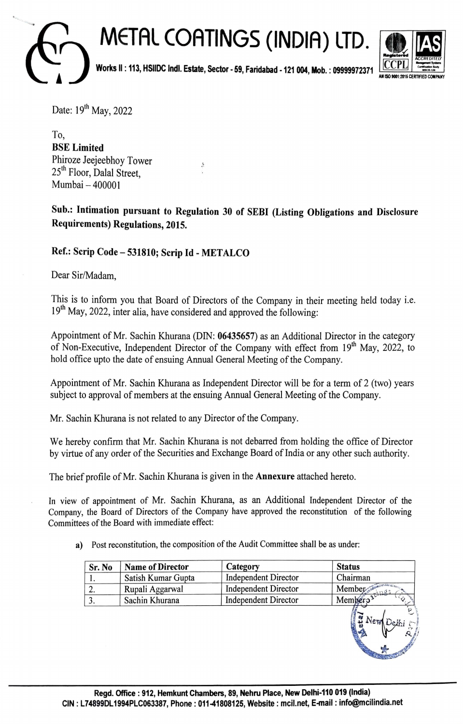## **METAL COATINGS (INDIA) LTD. Works** II : **113, HSllDC lndl. Estate, Sector -59, Faridabad -121 004, Mob. : 09999972371** ~ -:::;,;- ! AlllSOto01:2011CERTlf1EDCOllPAlf1



Date: 19<sup>th</sup> May, 2022

To, **BSE Limited**  Phiroze Jeejeebhoy Tower 25<sup>th</sup> Floor, Dalal Street, Mumbai-400001

**Sub.: Intimation pursuant to Regulation 30 of SEBI (Listing Obligations and Disclosure Requirements) Regulations, 2015.** 

## **Ref.: Scrip Code-531810; Scrip Id - METALCO**

Dear Sir/Madam,

This is to inform you that Board of Directors of the Company in their meeting held today i.e. 19<sup>th</sup> May, 2022, inter alia, have considered and approved the following:

Appointment of Mr. Sachin Khurana (DIN: **06435657)** as an Additional Director in the category of Non-Executive, Independent Director of the Company with effect from 19<sup>th</sup> May, 2022, to hold office upto the date of ensuing Annual General Meeting of the Company.

Appointment of Mr. Sachin Khurana as Independent Director will be for a term of 2 (two) years subject to approval of members at the ensuing Annual General Meeting of the Company.

Mr. Sachin Khurana is not related to any Director of the Company.

We hereby confirm that Mr. Sachin Khurana is not debarred from holding the office of Director by virtue of any order of the Securities and Exchange Board of India or any other such authority.

The brief profile of Mr. Sachin Khurana is given in the **Annexure** attached hereto.

In view of appointment of Mr. Sachin Khurana, as an Additional Independent Director of the Company, the Board of Directors of the Company have approved the reconstitution of the following Committees of the Board with immediate effect:

a) Post reconstitution, the composition of the Audit Committee shall be as under:

| Sr. No | <b>Name of Director</b> | Category                    | <b>Status</b>       |
|--------|-------------------------|-----------------------------|---------------------|
|        | Satish Kumar Gupta      | Independent Director        | Chairman            |
|        | Rupali Aggarwal         | <b>Independent Director</b> | Member <sub>®</sub> |
|        | Sachin Khurana          | Independent Director        | Mer'                |
|        |                         |                             |                     |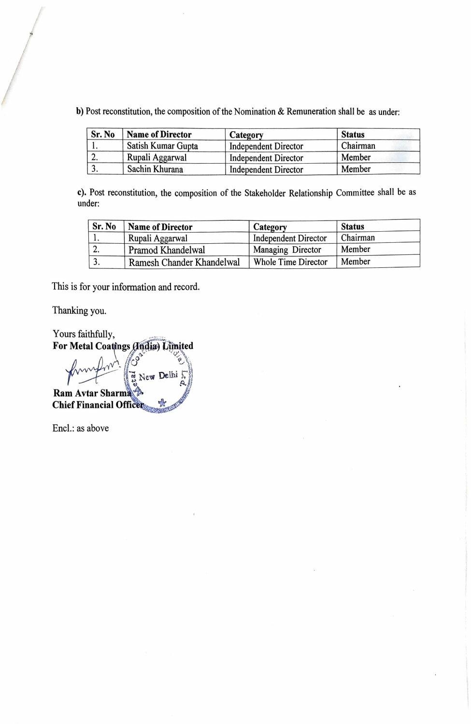b) Post reconstitution, the composition of the Nomination & Remuneration shall be as under:

| Sr. No    | <b>Name of Director</b> | Category                    | <b>Status</b> |
|-----------|-------------------------|-----------------------------|---------------|
|           | Satish Kumar Gupta      | <b>Independent Director</b> | Chairman      |
| <b>L.</b> | Rupali Aggarwal         | <b>Independent Director</b> | Member        |
|           | Sachin Khurana          | <b>Independent Director</b> | Member        |

c). Post reconstitution, the composition of the Stakeholder Relationship Committee shall be as under:

| Sr. No | <b>Name of Director</b>   | Category                    | <b>Status</b> |
|--------|---------------------------|-----------------------------|---------------|
|        | Rupali Aggarwal           | <b>Independent Director</b> | Chairman      |
| ۷.     | Pramod Khandelwal         | Managing Director           | Member        |
|        | Ramesh Chander Khandelwal | <b>Whole Time Director</b>  | Member        |

This is for your information and record.

Thanking you.

Yours faithfully, For Metal Coatings (India) Limited

New Delhi Ram Avtar Sharma **Chief Financial Office** 

Encl.: as above